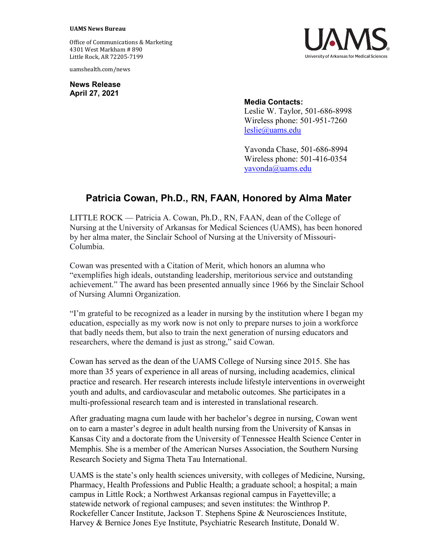## **UAMS News Bureau**

Office of Communications & Marketing 4301 West Markham # 890 Little Rock, AR 72205-7199

uamshealth.com/news

**News Release April 27, 2021**



## **Media Contacts:**

Leslie W. Taylor, 501-686-8998 Wireless phone: 501-951-7260 [leslie@uams.edu](mailto:leslie@uams.edu)

Yavonda Chase, 501-686-8994 Wireless phone: 501-416-0354 [yavonda@uams.edu](mailto:yavonda@uams.edu)

## **Patricia Cowan, Ph.D., RN, FAAN, Honored by Alma Mater**

LITTLE ROCK — Patricia A. Cowan, Ph.D., RN, FAAN, dean of the College of Nursing at the University of Arkansas for Medical Sciences (UAMS), has been honored by her alma mater, the Sinclair School of Nursing at the University of Missouri-Columbia.

Cowan was presented with a Citation of Merit, which honors an alumna who "exemplifies high ideals, outstanding leadership, meritorious service and outstanding achievement." The award has been presented annually since 1966 by the Sinclair School of Nursing Alumni Organization.

"I'm grateful to be recognized as a leader in nursing by the institution where I began my education, especially as my work now is not only to prepare nurses to join a workforce that badly needs them, but also to train the next generation of nursing educators and researchers, where the demand is just as strong," said Cowan.

Cowan has served as the dean of the UAMS College of Nursing since 2015. She has more than 35 years of experience in all areas of nursing, including academics, clinical practice and research. Her research interests include lifestyle interventions in overweight youth and adults, and cardiovascular and metabolic outcomes. She participates in a multi-professional research team and is interested in translational research.

After graduating magna cum laude with her bachelor's degree in nursing, Cowan went on to earn a master's degree in adult health nursing from the University of Kansas in Kansas City and a doctorate from the University of Tennessee Health Science Center in Memphis. She is a member of the American Nurses Association, the Southern Nursing Research Society and Sigma Theta Tau International.

UAMS is the state's only health sciences university, with colleges of Medicine, Nursing, Pharmacy, Health Professions and Public Health; a graduate school; a hospital; a main campus in Little Rock; a Northwest Arkansas regional campus in Fayetteville; a statewide network of regional campuses; and seven institutes: the Winthrop P. Rockefeller Cancer Institute, Jackson T. Stephens Spine & Neurosciences Institute, Harvey & Bernice Jones Eye Institute, Psychiatric Research Institute, Donald W.